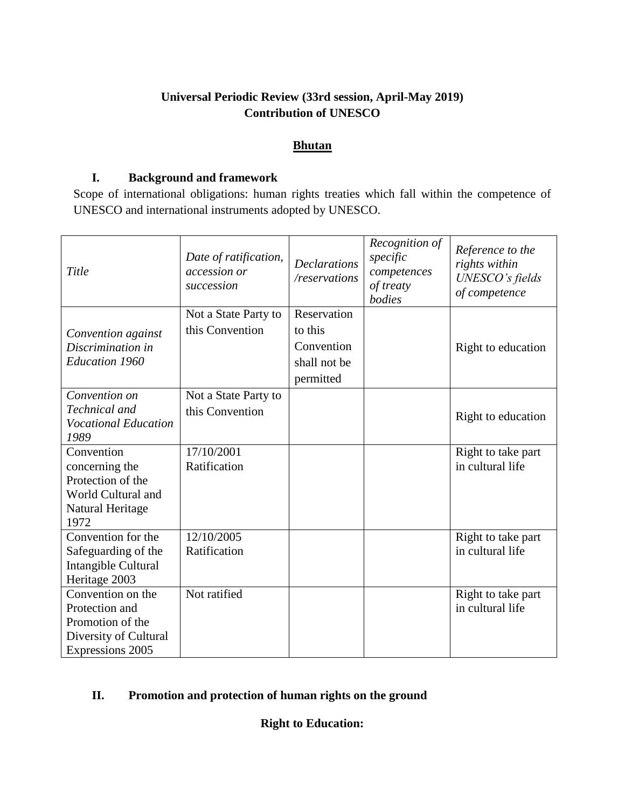## **Universal Periodic Review (33rd session, April-May 2019) Contribution of UNESCO**

## **Bhutan**

## **I. Background and framework**

Scope of international obligations: human rights treaties which fall within the competence of UNESCO and international instruments adopted by UNESCO.

| Title                                                                                                | Date of ratification,<br>accession or<br>succession | <b>Declarations</b><br>/reservations                              | Recognition of<br>specific<br>competences<br>of treaty<br>bodies | Reference to the<br>rights within<br>UNESCO's fields<br>of competence |
|------------------------------------------------------------------------------------------------------|-----------------------------------------------------|-------------------------------------------------------------------|------------------------------------------------------------------|-----------------------------------------------------------------------|
| Convention against<br>Discrimination in<br><b>Education 1960</b>                                     | Not a State Party to<br>this Convention             | Reservation<br>to this<br>Convention<br>shall not be<br>permitted |                                                                  | Right to education                                                    |
| Convention on<br>Technical and<br><b>Vocational Education</b><br>1989                                | Not a State Party to<br>this Convention             |                                                                   |                                                                  | Right to education                                                    |
| Convention<br>concerning the<br>Protection of the<br>World Cultural and<br>Natural Heritage<br>1972  | 17/10/2001<br>Ratification                          |                                                                   |                                                                  | Right to take part<br>in cultural life                                |
| Convention for the<br>Safeguarding of the<br>Intangible Cultural<br>Heritage 2003                    | 12/10/2005<br>Ratification                          |                                                                   |                                                                  | Right to take part<br>in cultural life                                |
| Convention on the<br>Protection and<br>Promotion of the<br>Diversity of Cultural<br>Expressions 2005 | Not ratified                                        |                                                                   |                                                                  | Right to take part<br>in cultural life                                |

# **II. Promotion and protection of human rights on the ground**

**Right to Education:**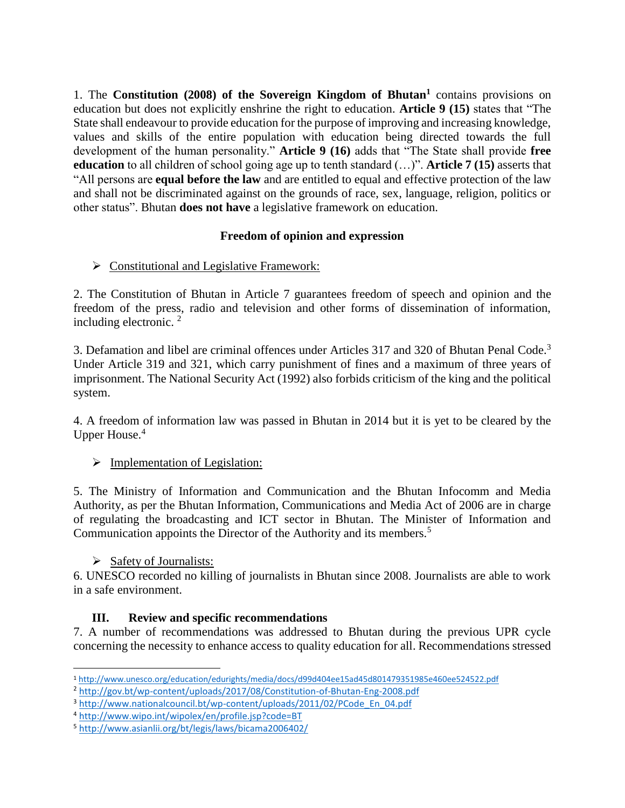1. The **Constitution (2008) of the Sovereign Kingdom of Bhutan<sup>1</sup>** contains provisions on education but does not explicitly enshrine the right to education. **Article 9 (15)** states that "The State shall endeavour to provide education for the purpose of improving and increasing knowledge, values and skills of the entire population with education being directed towards the full development of the human personality." **Article 9 (16)** adds that "The State shall provide **free education** to all children of school going age up to tenth standard (…)". **Article 7 (15)** asserts that "All persons are **equal before the law** and are entitled to equal and effective protection of the law and shall not be discriminated against on the grounds of race, sex, language, religion, politics or other status". Bhutan **does not have** a legislative framework on education.

## **Freedom of opinion and expression**

 $\triangleright$  Constitutional and Legislative Framework:

2. The Constitution of Bhutan in Article 7 guarantees freedom of speech and opinion and the freedom of the press, radio and television and other forms of dissemination of information, including electronic. <sup>2</sup>

3. Defamation and libel are criminal offences under Articles 317 and 320 of Bhutan Penal Code.<sup>3</sup> Under Article 319 and 321, which carry punishment of fines and a maximum of three years of imprisonment. The National Security Act (1992) also forbids criticism of the king and the political system.

4. A freedom of information law was passed in Bhutan in 2014 but it is yet to be cleared by the Upper House.<sup>4</sup>

## $\triangleright$  Implementation of Legislation:

5. The Ministry of Information and Communication and the Bhutan Infocomm and Media Authority, as per the Bhutan Information, Communications and Media Act of 2006 are in charge of regulating the broadcasting and ICT sector in Bhutan. The Minister of Information and Communication appoints the Director of the Authority and its members.<sup>5</sup>

## $\triangleright$  Safety of Journalists:

6. UNESCO recorded no killing of journalists in Bhutan since 2008. Journalists are able to work in a safe environment.

## **III. Review and specific recommendations**

7. A number of recommendations was addressed to Bhutan during the previous UPR cycle concerning the necessity to enhance access to quality education for all. Recommendations stressed

l <sup>1</sup> <http://www.unesco.org/education/edurights/media/docs/d99d404ee15ad45d801479351985e460ee524522.pdf>

<sup>2</sup> <http://gov.bt/wp-content/uploads/2017/08/Constitution-of-Bhutan-Eng-2008.pdf>

<sup>3</sup> [http://www.nationalcouncil.bt/wp-content/uploads/2011/02/PCode\\_En\\_04.pdf](http://www.nationalcouncil.bt/wp-content/uploads/2011/02/PCode_En_04.pdf)

<sup>4</sup> <http://www.wipo.int/wipolex/en/profile.jsp?code=BT>

<sup>5</sup> <http://www.asianlii.org/bt/legis/laws/bicama2006402/>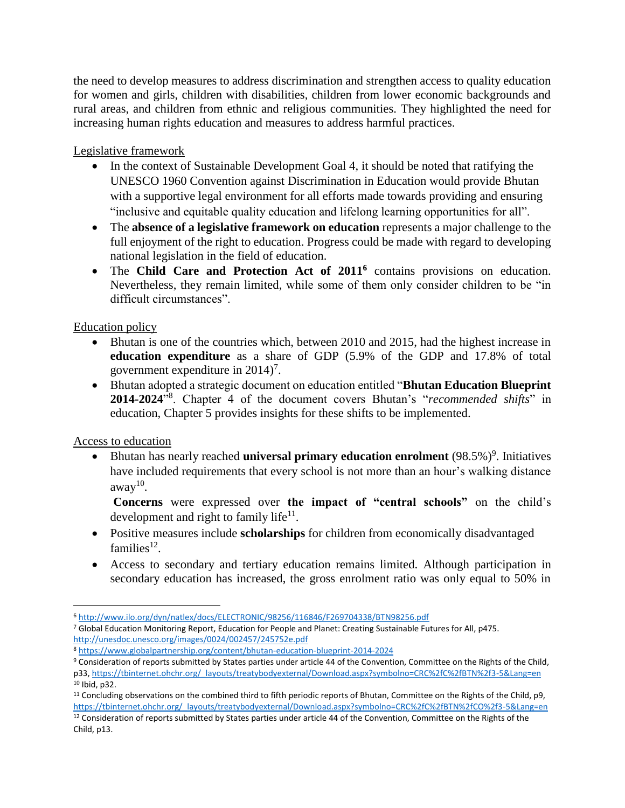the need to develop measures to address discrimination and strengthen access to quality education for women and girls, children with disabilities, children from lower economic backgrounds and rural areas, and children from ethnic and religious communities. They highlighted the need for increasing human rights education and measures to address harmful practices.

Legislative framework

- In the context of Sustainable Development Goal 4, it should be noted that ratifying the UNESCO 1960 Convention against Discrimination in Education would provide Bhutan with a supportive legal environment for all efforts made towards providing and ensuring "inclusive and equitable quality education and lifelong learning opportunities for all".
- The **absence of a legislative framework on education** represents a major challenge to the full enjoyment of the right to education. Progress could be made with regard to developing national legislation in the field of education.
- The **Child Care and Protection Act of 2011<sup>6</sup>** contains provisions on education. Nevertheless, they remain limited, while some of them only consider children to be "in difficult circumstances".

Education policy

- Bhutan is one of the countries which, between 2010 and 2015, had the highest increase in **education expenditure** as a share of GDP (5.9% of the GDP and 17.8% of total government expenditure in  $2014$ <sup>7</sup>.
- Bhutan adopted a strategic document on education entitled "**Bhutan Education Blueprint 2014-2024**" 8 . Chapter 4 of the document covers Bhutan's "*recommended shifts*" in education, Chapter 5 provides insights for these shifts to be implemented.

Access to education

• Bhutan has nearly reached **universal primary education enrolment** (98.5%)<sup>9</sup>. Initiatives have included requirements that every school is not more than an hour's walking distance  $away<sup>10</sup>$ .

**Concerns** were expressed over **the impact of "central schools"** on the child's development and right to family life $11$ .

- Positive measures include **scholarships** for children from economically disadvantaged families $^{12}$ .
- Access to secondary and tertiary education remains limited. Although participation in secondary education has increased, the gross enrolment ratio was only equal to 50% in

<sup>8</sup> <https://www.globalpartnership.org/content/bhutan-education-blueprint-2014-2024>

l <sup>6</sup> <http://www.ilo.org/dyn/natlex/docs/ELECTRONIC/98256/116846/F269704338/BTN98256.pdf>

<sup>7</sup> Global Education Monitoring Report, Education for People and Planet: Creating Sustainable Futures for All, p475. <http://unesdoc.unesco.org/images/0024/002457/245752e.pdf>

<sup>9</sup> Consideration of reports submitted by States parties under article 44 of the Convention, Committee on the Rights of the Child, p33[, https://tbinternet.ohchr.org/\\_layouts/treatybodyexternal/Download.aspx?symbolno=CRC%2fC%2fBTN%2f3-5&Lang=en](https://tbinternet.ohchr.org/_layouts/treatybodyexternal/Download.aspx?symbolno=CRC%2fC%2fBTN%2f3-5&Lang=en) <sup>10</sup> Ibid, p32.

<sup>11</sup> Concluding observations on the combined third to fifth periodic reports of Bhutan, Committee on the Rights of the Child, p9, [https://tbinternet.ohchr.org/\\_layouts/treatybodyexternal/Download.aspx?symbolno=CRC%2fC%2fBTN%2fCO%2f3-5&Lang=en](https://tbinternet.ohchr.org/_layouts/treatybodyexternal/Download.aspx?symbolno=CRC%2fC%2fBTN%2fCO%2f3-5&Lang=en)

<sup>&</sup>lt;sup>12</sup> Consideration of reports submitted by States parties under article 44 of the Convention, Committee on the Rights of the Child, p13.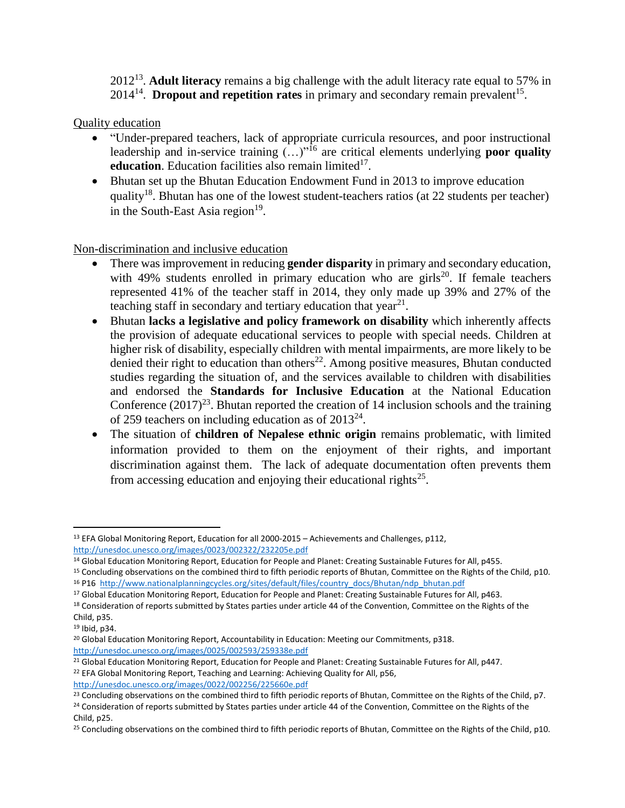2012<sup>13</sup> . **Adult literacy** remains a big challenge with the adult literacy rate equal to 57% in  $2014^{14}$ . **Dropout and repetition rates** in primary and secondary remain prevalent<sup>15</sup>.

Quality education

- "Under-prepared teachers, lack of appropriate curricula resources, and poor instructional leadership and in-service training  $\ldots$ <sup>16</sup> are critical elements underlying **poor quality** education. Education facilities also remain limited<sup>17</sup>.
- Bhutan set up the Bhutan Education Endowment Fund in 2013 to improve education quality<sup>18</sup>. Bhutan has one of the lowest student-teachers ratios (at 22 students per teacher) in the South-East Asia region $19$ .

Non-discrimination and inclusive education

- There was improvement in reducing **gender disparity** in primary and secondary education, with 49% students enrolled in primary education who are girls<sup>20</sup>. If female teachers represented 41% of the teacher staff in 2014, they only made up 39% and 27% of the teaching staff in secondary and tertiary education that year $^{21}$ .
- Bhutan **lacks a legislative and policy framework on disability** which inherently affects the provision of adequate educational services to people with special needs. Children at higher risk of disability, especially children with mental impairments, are more likely to be denied their right to education than others<sup>22</sup>. Among positive measures, Bhutan conducted studies regarding the situation of, and the services available to children with disabilities and endorsed the **Standards for Inclusive Education** at the National Education Conference  $(2017)^{23}$ . Bhutan reported the creation of 14 inclusion schools and the training of 259 teachers on including education as of  $2013^{24}$ .
- The situation of **children of Nepalese ethnic origin** remains problematic, with limited information provided to them on the enjoyment of their rights, and important discrimination against them. The lack of adequate documentation often prevents them from accessing education and enjoying their educational rights<sup>25</sup>.

<http://unesdoc.unesco.org/images/0022/002256/225660e.pdf>

 $\overline{a}$ <sup>13</sup> EFA Global Monitoring Report, Education for all 2000-2015 – Achievements and Challenges, p112, <http://unesdoc.unesco.org/images/0023/002322/232205e.pdf>

<sup>&</sup>lt;sup>14</sup> Global Education Monitoring Report, Education for People and Planet: Creating Sustainable Futures for All, p455.

<sup>15</sup> Concluding observations on the combined third to fifth periodic reports of Bhutan, Committee on the Rights of the Child, p10. <sup>16</sup> P16 [http://www.nationalplanningcycles.org/sites/default/files/country\\_docs/Bhutan/ndp\\_bhutan.pdf](http://www.nationalplanningcycles.org/sites/default/files/country_docs/Bhutan/ndp_bhutan.pdf)

<sup>&</sup>lt;sup>17</sup> Global Education Monitoring Report, Education for People and Planet: Creating Sustainable Futures for All, p463.

<sup>&</sup>lt;sup>18</sup> Consideration of reports submitted by States parties under article 44 of the Convention, Committee on the Rights of the Child, p35.

<sup>19</sup> Ibid, p34.

<sup>&</sup>lt;sup>20</sup> Global Education Monitoring Report, Accountability in Education: Meeting our Commitments, p318. <http://unesdoc.unesco.org/images/0025/002593/259338e.pdf>

<sup>&</sup>lt;sup>21</sup> Global Education Monitoring Report, Education for People and Planet: Creating Sustainable Futures for All, p447.

<sup>&</sup>lt;sup>22</sup> EFA Global Monitoring Report, Teaching and Learning: Achieving Quality for All, p56,

<sup>&</sup>lt;sup>23</sup> Concluding observations on the combined third to fifth periodic reports of Bhutan, Committee on the Rights of the Child, p7.

<sup>&</sup>lt;sup>24</sup> Consideration of reports submitted by States parties under article 44 of the Convention, Committee on the Rights of the Child, p25.

<sup>&</sup>lt;sup>25</sup> Concluding observations on the combined third to fifth periodic reports of Bhutan, Committee on the Rights of the Child, p10.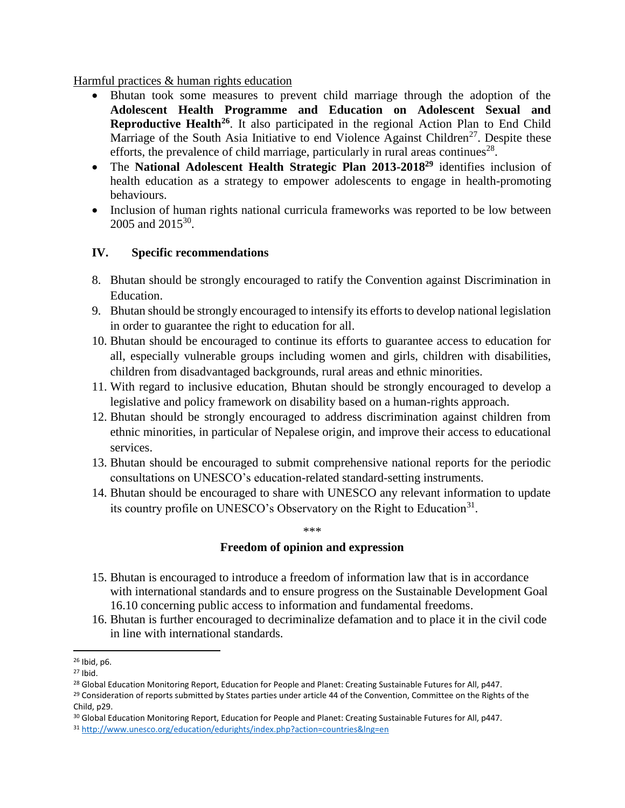#### Harmful practices & human rights education

- Bhutan took some measures to prevent child marriage through the adoption of the **Adolescent Health Programme and Education on Adolescent Sexual and Reproductive Health<sup>26</sup>**. It also participated in the regional Action Plan to End Child Marriage of the South Asia Initiative to end Violence Against Children<sup>27</sup>. Despite these efforts, the prevalence of child marriage, particularly in rural areas continues<sup>28</sup>.
- The **National Adolescent Health Strategic Plan 2013-2018<sup>29</sup>** identifies inclusion of health education as a strategy to empower adolescents to engage in health-promoting behaviours.
- Inclusion of human rights national curricula frameworks was reported to be low between 2005 and 2015<sup>30</sup>.

## **IV. Specific recommendations**

- 8. Bhutan should be strongly encouraged to ratify the Convention against Discrimination in Education.
- 9. Bhutan should be strongly encouraged to intensify its efforts to develop national legislation in order to guarantee the right to education for all.
- 10. Bhutan should be encouraged to continue its efforts to guarantee access to education for all, especially vulnerable groups including women and girls, children with disabilities, children from disadvantaged backgrounds, rural areas and ethnic minorities.
- 11. With regard to inclusive education, Bhutan should be strongly encouraged to develop a legislative and policy framework on disability based on a human-rights approach.
- 12. Bhutan should be strongly encouraged to address discrimination against children from ethnic minorities, in particular of Nepalese origin, and improve their access to educational services.
- 13. Bhutan should be encouraged to submit comprehensive national reports for the periodic consultations on UNESCO's education-related standard-setting instruments.
- 14. Bhutan should be encouraged to share with UNESCO any relevant information to update its country profile on UNESCO's Observatory on the Right to Education<sup>31</sup>.

\*\*\*

## **Freedom of opinion and expression**

- 15. Bhutan is encouraged to introduce a freedom of information law that is in accordance with international standards and to ensure progress on the Sustainable Development Goal 16.10 concerning public access to information and fundamental freedoms.
- 16. Bhutan is further encouraged to decriminalize defamation and to place it in the civil code in line with international standards.

 $\overline{\phantom{a}}$ 

<sup>26</sup> Ibid, p6.

<sup>27</sup> Ibid.

<sup>&</sup>lt;sup>28</sup> Global Education Monitoring Report, Education for People and Planet: Creating Sustainable Futures for All, p447.

<sup>&</sup>lt;sup>29</sup> Consideration of reports submitted by States parties under article 44 of the Convention, Committee on the Rights of the Child, p29.

<sup>30</sup> Global Education Monitoring Report, Education for People and Planet: Creating Sustainable Futures for All, p447.

<sup>31</sup> <http://www.unesco.org/education/edurights/index.php?action=countries&lng=en>